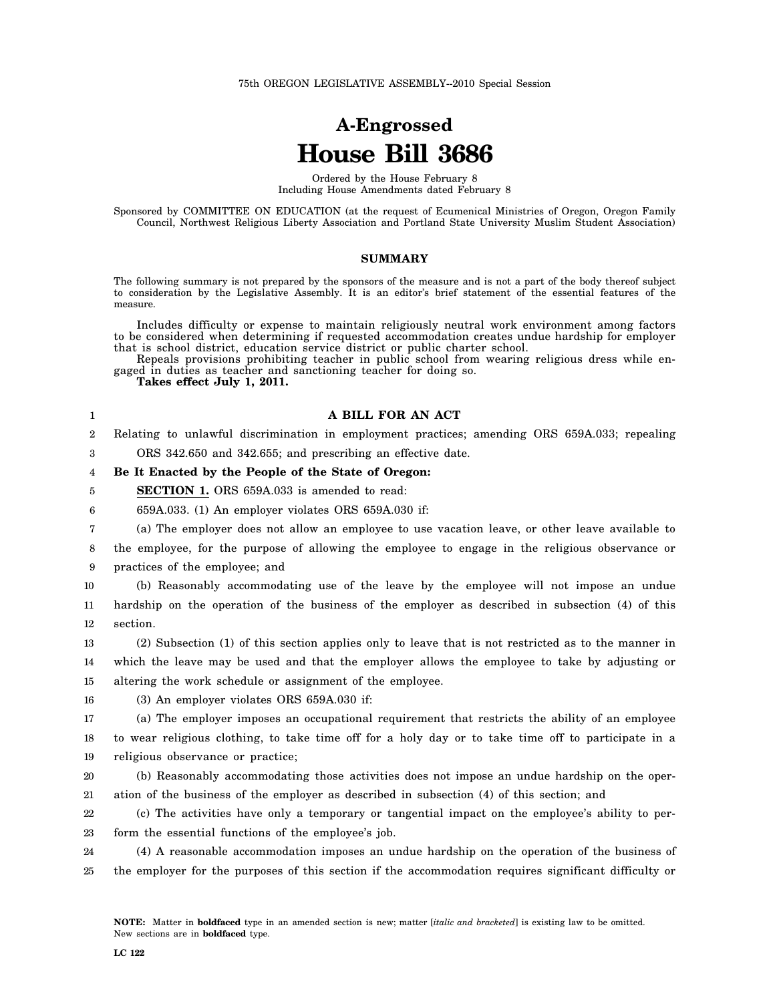## **A-Engrossed House Bill 3686**

Ordered by the House February 8 Including House Amendments dated February 8

Sponsored by COMMITTEE ON EDUCATION (at the request of Ecumenical Ministries of Oregon, Oregon Family Council, Northwest Religious Liberty Association and Portland State University Muslim Student Association)

## **SUMMARY**

The following summary is not prepared by the sponsors of the measure and is not a part of the body thereof subject to consideration by the Legislative Assembly. It is an editor's brief statement of the essential features of the measure.

Includes difficulty or expense to maintain religiously neutral work environment among factors to be considered when determining if requested accommodation creates undue hardship for employer that is school district, education service district or public charter school.

Repeals provisions prohibiting teacher in public school from wearing religious dress while engaged in duties as teacher and sanctioning teacher for doing so.

**A BILL FOR AN ACT**

**Takes effect July 1, 2011.**

| A BILL FOR AN ACT                                                                                   |
|-----------------------------------------------------------------------------------------------------|
| Relating to unlawful discrimination in employment practices; amending ORS 659A.033; repealing       |
| ORS 342.650 and 342.655; and prescribing an effective date.                                         |
| Be It Enacted by the People of the State of Oregon:                                                 |
| <b>SECTION 1.</b> ORS 659A.033 is amended to read:                                                  |
| 659A.033. (1) An employer violates ORS 659A.030 if:                                                 |
| (a) The employer does not allow an employee to use vacation leave, or other leave available to      |
| the employee, for the purpose of allowing the employee to engage in the religious observance or     |
| practices of the employee; and                                                                      |
| (b) Reasonably accommodating use of the leave by the employee will not impose an undue              |
| hardship on the operation of the business of the employer as described in subsection (4) of this    |
| section.                                                                                            |
| (2) Subsection (1) of this section applies only to leave that is not restricted as to the manner in |
| which the leave may be used and that the employer allows the employee to take by adjusting or       |
| altering the work schedule or assignment of the employee.                                           |
| (3) An employer violates ORS 659A.030 if:                                                           |
| (a) The employer imposes an occupational requirement that restricts the ability of an employee      |
| to wear religious clothing, to take time off for a holy day or to take time off to participate in a |
| religious observance or practice;                                                                   |
| (b) Reasonably accommodating those activities does not impose an undue hardship on the oper-        |
| ation of the business of the employer as described in subsection (4) of this section; and           |
| (c) The activities have only a temporary or tangential impact on the employee's ability to per-     |
|                                                                                                     |

23 form the essential functions of the employee's job.

24 25 (4) A reasonable accommodation imposes an undue hardship on the operation of the business of the employer for the purposes of this section if the accommodation requires significant difficulty or